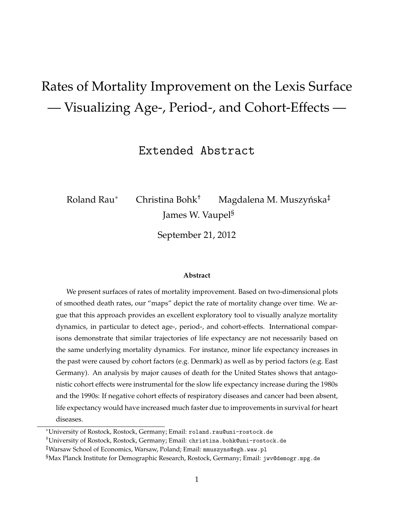# Rates of Mortality Improvement on the Lexis Surface — Visualizing Age-, Period-, and Cohort-Effects —

Extended Abstract

Roland Rau $^*$   $\quad$  Christina Bohk $^{\dagger}$   $\quad$  Magdalena M. Muszyńska $^{\ddagger}$ James W. Vaupel§

September 21, 2012

#### **Abstract**

We present surfaces of rates of mortality improvement. Based on two-dimensional plots of smoothed death rates, our "maps" depict the rate of mortality change over time. We argue that this approach provides an excellent exploratory tool to visually analyze mortality dynamics, in particular to detect age-, period-, and cohort-effects. International comparisons demonstrate that similar trajectories of life expectancy are not necessarily based on the same underlying mortality dynamics. For instance, minor life expectancy increases in the past were caused by cohort factors (e.g. Denmark) as well as by period factors (e.g. East Germany). An analysis by major causes of death for the United States shows that antagonistic cohort effects were instrumental for the slow life expectancy increase during the 1980s and the 1990s: If negative cohort effects of respiratory diseases and cancer had been absent, life expectancy would have increased much faster due to improvements in survival for heart diseases.

<sup>∗</sup>University of Rostock, Rostock, Germany; Email: roland.rau@uni-rostock.de

<sup>†</sup>University of Rostock, Rostock, Germany; Email: christina.bohk@uni-rostock.de

<sup>‡</sup>Warsaw School of Economics, Warsaw, Poland; Email: mmuszyns@sgh.waw.pl

<sup>§</sup>Max Planck Institute for Demographic Research, Rostock, Germany; Email: jwv@demogr.mpg.de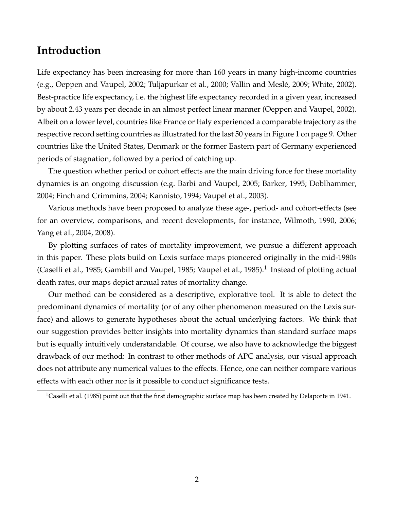#### **Introduction**

Life expectancy has been increasing for more than 160 years in many high-income countries (e.g., Oeppen and Vaupel, 2002; Tuljapurkar et al., 2000; Vallin and Meslé, 2009; White, 2002). Best-practice life expectancy, i.e. the highest life expectancy recorded in a given year, increased by about 2.43 years per decade in an almost perfect linear manner (Oeppen and Vaupel, 2002). Albeit on a lower level, countries like France or Italy experienced a comparable trajectory as the respective record setting countries as illustrated for the last 50 years in Figure 1 on page 9. Other countries like the United States, Denmark or the former Eastern part of Germany experienced periods of stagnation, followed by a period of catching up.

The question whether period or cohort effects are the main driving force for these mortality dynamics is an ongoing discussion (e.g. Barbi and Vaupel, 2005; Barker, 1995; Doblhammer, 2004; Finch and Crimmins, 2004; Kannisto, 1994; Vaupel et al., 2003).

Various methods have been proposed to analyze these age-, period- and cohort-effects (see for an overview, comparisons, and recent developments, for instance, Wilmoth, 1990, 2006; Yang et al., 2004, 2008).

By plotting surfaces of rates of mortality improvement, we pursue a different approach in this paper. These plots build on Lexis surface maps pioneered originally in the mid-1980s (Caselli et al., 1985; Gambill and Vaupel, 1985; Vaupel et al., 1985).<sup>1</sup> Instead of plotting actual death rates, our maps depict annual rates of mortality change.

Our method can be considered as a descriptive, explorative tool. It is able to detect the predominant dynamics of mortality (or of any other phenomenon measured on the Lexis surface) and allows to generate hypotheses about the actual underlying factors. We think that our suggestion provides better insights into mortality dynamics than standard surface maps but is equally intuitively understandable. Of course, we also have to acknowledge the biggest drawback of our method: In contrast to other methods of APC analysis, our visual approach does not attribute any numerical values to the effects. Hence, one can neither compare various effects with each other nor is it possible to conduct significance tests.

<sup>&</sup>lt;sup>1</sup>Caselli et al. (1985) point out that the first demographic surface map has been created by Delaporte in 1941.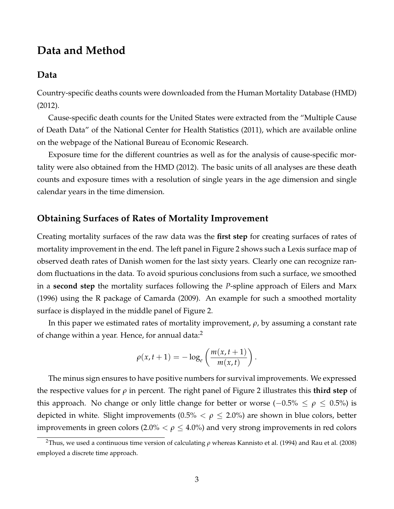#### **Data and Method**

#### **Data**

Country-specific deaths counts were downloaded from the Human Mortality Database (HMD) (2012).

Cause-specific death counts for the United States were extracted from the "Multiple Cause of Death Data" of the National Center for Health Statistics (2011), which are available online on the webpage of the National Bureau of Economic Research.

Exposure time for the different countries as well as for the analysis of cause-specific mortality were also obtained from the HMD (2012). The basic units of all analyses are these death counts and exposure times with a resolution of single years in the age dimension and single calendar years in the time dimension.

#### **Obtaining Surfaces of Rates of Mortality Improvement**

Creating mortality surfaces of the raw data was the **first step** for creating surfaces of rates of mortality improvement in the end. The left panel in Figure 2 shows such a Lexis surface map of observed death rates of Danish women for the last sixty years. Clearly one can recognize random fluctuations in the data. To avoid spurious conclusions from such a surface, we smoothed in a **second step** the mortality surfaces following the *P*-spline approach of Eilers and Marx (1996) using the R package of Camarda (2009). An example for such a smoothed mortality surface is displayed in the middle panel of Figure 2.

In this paper we estimated rates of mortality improvement, *ρ*, by assuming a constant rate of change within a year. Hence, for annual data:<sup>2</sup>

$$
\rho(x,t+1) = -\log_e\left(\frac{m(x,t+1)}{m(x,t)}\right).
$$

The minus sign ensures to have positive numbers for survival improvements. We expressed the respective values for *ρ* in percent. The right panel of Figure 2 illustrates this **third step** of this approach. No change or only little change for better or worse ( $-0.5\%$  ≤  $ρ ≤ 0.5\%$ ) is depicted in white. Slight improvements  $(0.5\% < \rho \leq 2.0\%)$  are shown in blue colors, better improvements in green colors  $(2.0\% < \rho \leq 4.0\%)$  and very strong improvements in red colors

<sup>2</sup>Thus, we used a continuous time version of calculating *ρ* whereas Kannisto et al. (1994) and Rau et al. (2008) employed a discrete time approach.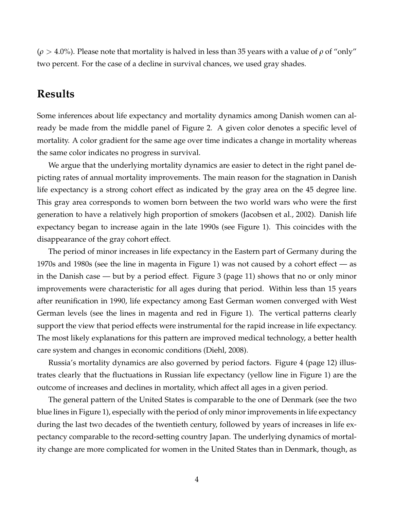(*ρ* > 4.0%). Please note that mortality is halved in less than 35 years with a value of *ρ* of "only" two percent. For the case of a decline in survival chances, we used gray shades.

## **Results**

Some inferences about life expectancy and mortality dynamics among Danish women can already be made from the middle panel of Figure 2. A given color denotes a specific level of mortality. A color gradient for the same age over time indicates a change in mortality whereas the same color indicates no progress in survival.

We argue that the underlying mortality dynamics are easier to detect in the right panel depicting rates of annual mortality improvements. The main reason for the stagnation in Danish life expectancy is a strong cohort effect as indicated by the gray area on the 45 degree line. This gray area corresponds to women born between the two world wars who were the first generation to have a relatively high proportion of smokers (Jacobsen et al., 2002). Danish life expectancy began to increase again in the late 1990s (see Figure 1). This coincides with the disappearance of the gray cohort effect.

The period of minor increases in life expectancy in the Eastern part of Germany during the 1970s and 1980s (see the line in magenta in Figure 1) was not caused by a cohort effect — as in the Danish case — but by a period effect. Figure 3 (page 11) shows that no or only minor improvements were characteristic for all ages during that period. Within less than 15 years after reunification in 1990, life expectancy among East German women converged with West German levels (see the lines in magenta and red in Figure 1). The vertical patterns clearly support the view that period effects were instrumental for the rapid increase in life expectancy. The most likely explanations for this pattern are improved medical technology, a better health care system and changes in economic conditions (Diehl, 2008).

Russia's mortality dynamics are also governed by period factors. Figure 4 (page 12) illustrates clearly that the fluctuations in Russian life expectancy (yellow line in Figure 1) are the outcome of increases and declines in mortality, which affect all ages in a given period.

The general pattern of the United States is comparable to the one of Denmark (see the two blue lines in Figure 1), especially with the period of only minor improvements in life expectancy during the last two decades of the twentieth century, followed by years of increases in life expectancy comparable to the record-setting country Japan. The underlying dynamics of mortality change are more complicated for women in the United States than in Denmark, though, as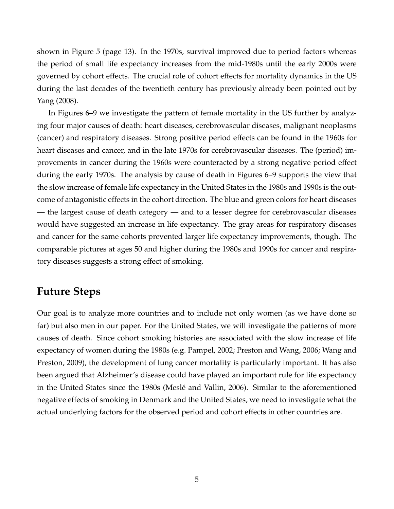shown in Figure 5 (page 13). In the 1970s, survival improved due to period factors whereas the period of small life expectancy increases from the mid-1980s until the early 2000s were governed by cohort effects. The crucial role of cohort effects for mortality dynamics in the US during the last decades of the twentieth century has previously already been pointed out by Yang (2008).

In Figures 6–9 we investigate the pattern of female mortality in the US further by analyzing four major causes of death: heart diseases, cerebrovascular diseases, malignant neoplasms (cancer) and respiratory diseases. Strong positive period effects can be found in the 1960s for heart diseases and cancer, and in the late 1970s for cerebrovascular diseases. The (period) improvements in cancer during the 1960s were counteracted by a strong negative period effect during the early 1970s. The analysis by cause of death in Figures 6–9 supports the view that the slow increase of female life expectancy in the United States in the 1980s and 1990s is the outcome of antagonistic effects in the cohort direction. The blue and green colors for heart diseases — the largest cause of death category — and to a lesser degree for cerebrovascular diseases would have suggested an increase in life expectancy. The gray areas for respiratory diseases and cancer for the same cohorts prevented larger life expectancy improvements, though. The comparable pictures at ages 50 and higher during the 1980s and 1990s for cancer and respiratory diseases suggests a strong effect of smoking.

#### **Future Steps**

Our goal is to analyze more countries and to include not only women (as we have done so far) but also men in our paper. For the United States, we will investigate the patterns of more causes of death. Since cohort smoking histories are associated with the slow increase of life expectancy of women during the 1980s (e.g. Pampel, 2002; Preston and Wang, 2006; Wang and Preston, 2009), the development of lung cancer mortality is particularly important. It has also been argued that Alzheimer's disease could have played an important rule for life expectancy in the United States since the 1980s (Meslé and Vallin, 2006). Similar to the aforementioned negative effects of smoking in Denmark and the United States, we need to investigate what the actual underlying factors for the observed period and cohort effects in other countries are.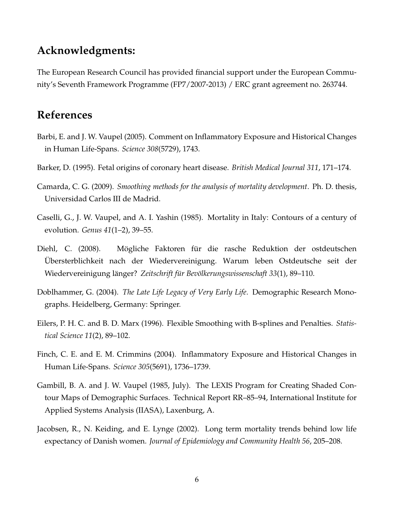## **Acknowledgments:**

The European Research Council has provided financial support under the European Community's Seventh Framework Programme (FP7/2007-2013) / ERC grant agreement no. 263744.

# **References**

- Barbi, E. and J. W. Vaupel (2005). Comment on Inflammatory Exposure and Historical Changes in Human Life-Spans. *Science 308*(5729), 1743.
- Barker, D. (1995). Fetal origins of coronary heart disease. *British Medical Journal 311*, 171–174.
- Camarda, C. G. (2009). *Smoothing methods for the analysis of mortality development*. Ph. D. thesis, Universidad Carlos III de Madrid.
- Caselli, G., J. W. Vaupel, and A. I. Yashin (1985). Mortality in Italy: Contours of a century of evolution. *Genus 41*(1–2), 39–55.
- Diehl, C. (2008). Mögliche Faktoren für die rasche Reduktion der ostdeutschen Ubersterblichkeit nach der Wiedervereinigung. Warum leben Ostdeutsche seit der ¨ Wiedervereinigung länger? Zeitschrift für Bevölkerungswissenschaft 33(1), 89–110.
- Doblhammer, G. (2004). *The Late Life Legacy of Very Early Life*. Demographic Research Monographs. Heidelberg, Germany: Springer.
- Eilers, P. H. C. and B. D. Marx (1996). Flexible Smoothing with B-splines and Penalties. *Statistical Science 11*(2), 89–102.
- Finch, C. E. and E. M. Crimmins (2004). Inflammatory Exposure and Historical Changes in Human Life-Spans. *Science 305*(5691), 1736–1739.
- Gambill, B. A. and J. W. Vaupel (1985, July). The LEXIS Program for Creating Shaded Contour Maps of Demographic Surfaces. Technical Report RR–85–94, International Institute for Applied Systems Analysis (IIASA), Laxenburg, A.
- Jacobsen, R., N. Keiding, and E. Lynge (2002). Long term mortality trends behind low life expectancy of Danish women. *Journal of Epidemiology and Community Health 56*, 205–208.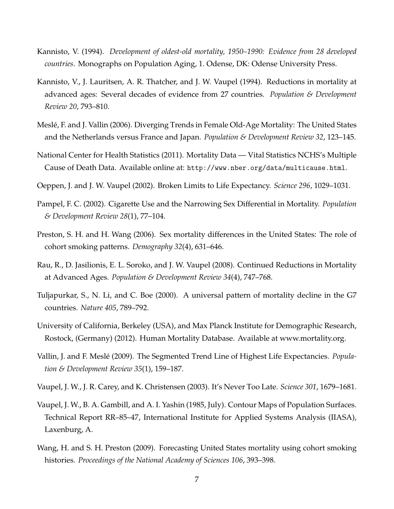- Kannisto, V. (1994). *Development of oldest-old mortality, 1950–1990: Evidence from 28 developed countries*. Monographs on Population Aging, 1. Odense, DK: Odense University Press.
- Kannisto, V., J. Lauritsen, A. R. Thatcher, and J. W. Vaupel (1994). Reductions in mortality at advanced ages: Several decades of evidence from 27 countries. *Population & Development Review 20*, 793–810.
- Mesle, F. and J. Vallin (2006). Diverging Trends in Female Old-Age Mortality: The United States ´ and the Netherlands versus France and Japan. *Population & Development Review 32*, 123–145.
- National Center for Health Statistics (2011). Mortality Data Vital Statistics NCHS's Multiple Cause of Death Data. Available online at: http://www.nber.org/data/multicause.html.
- Oeppen, J. and J. W. Vaupel (2002). Broken Limits to Life Expectancy. *Science 296*, 1029–1031.
- Pampel, F. C. (2002). Cigarette Use and the Narrowing Sex Differential in Mortality. *Population & Development Review 28*(1), 77–104.
- Preston, S. H. and H. Wang (2006). Sex mortality differences in the United States: The role of cohort smoking patterns. *Demography 32*(4), 631–646.
- Rau, R., D. Jasilionis, E. L. Soroko, and J. W. Vaupel (2008). Continued Reductions in Mortality at Advanced Ages. *Population & Development Review 34*(4), 747–768.
- Tuljapurkar, S., N. Li, and C. Boe (2000). A universal pattern of mortality decline in the G7 countries. *Nature 405*, 789–792.
- University of California, Berkeley (USA), and Max Planck Institute for Demographic Research, Rostock, (Germany) (2012). Human Mortality Database. Available at www.mortality.org.
- Vallin, J. and F. Meslé (2009). The Segmented Trend Line of Highest Life Expectancies. *Population & Development Review 35*(1), 159–187.
- Vaupel, J. W., J. R. Carey, and K. Christensen (2003). It's Never Too Late. *Science 301*, 1679–1681.
- Vaupel, J. W., B. A. Gambill, and A. I. Yashin (1985, July). Contour Maps of Population Surfaces. Technical Report RR–85–47, International Institute for Applied Systems Analysis (IIASA), Laxenburg, A.
- Wang, H. and S. H. Preston (2009). Forecasting United States mortality using cohort smoking histories. *Proceedings of the National Academy of Sciences 106*, 393–398.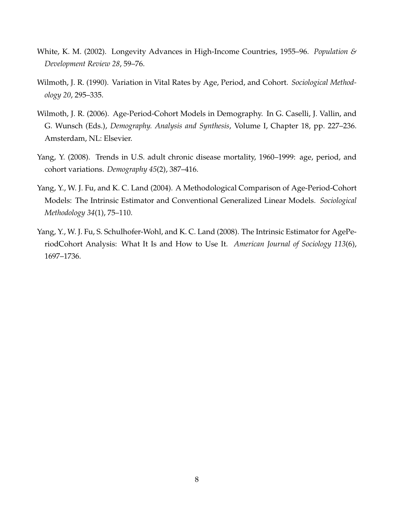- White, K. M. (2002). Longevity Advances in High-Income Countries, 1955–96. *Population & Development Review 28*, 59–76.
- Wilmoth, J. R. (1990). Variation in Vital Rates by Age, Period, and Cohort. *Sociological Methodology 20*, 295–335.
- Wilmoth, J. R. (2006). Age-Period-Cohort Models in Demography. In G. Caselli, J. Vallin, and G. Wunsch (Eds.), *Demography. Analysis and Synthesis*, Volume I, Chapter 18, pp. 227–236. Amsterdam, NL: Elsevier.
- Yang, Y. (2008). Trends in U.S. adult chronic disease mortality, 1960–1999: age, period, and cohort variations. *Demography 45*(2), 387–416.
- Yang, Y., W. J. Fu, and K. C. Land (2004). A Methodological Comparison of Age-Period-Cohort Models: The Intrinsic Estimator and Conventional Generalized Linear Models. *Sociological Methodology 34*(1), 75–110.
- Yang, Y., W. J. Fu, S. Schulhofer-Wohl, and K. C. Land (2008). The Intrinsic Estimator for AgePeriodCohort Analysis: What It Is and How to Use It. *American Journal of Sociology 113*(6), 1697–1736.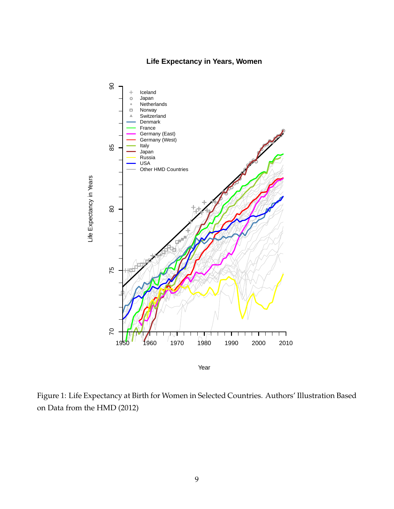#### **Life Expectancy in Years, Women**



Figure 1: Life Expectancy at Birth for Women in Selected Countries. Authors' Illustration Based on Data from the HMD (2012)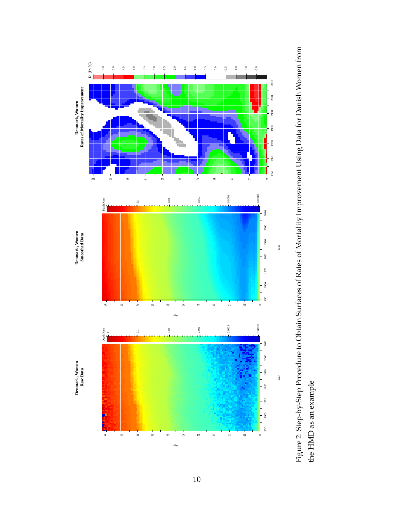



10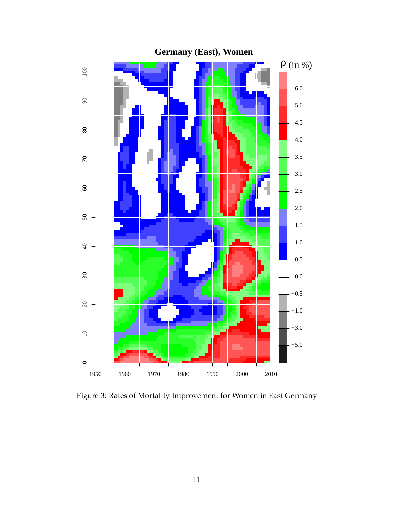

Figure 3: Rates of Mortality Improvement for Women in East Germany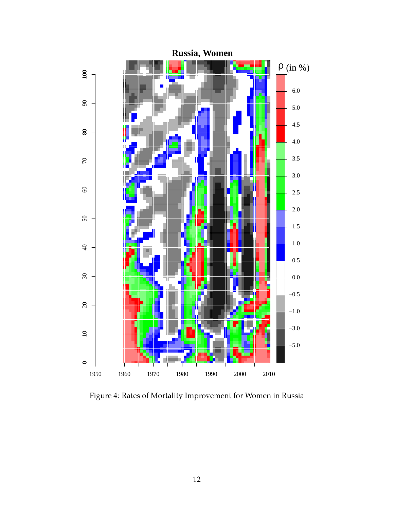

Figure 4: Rates of Mortality Improvement for Women in Russia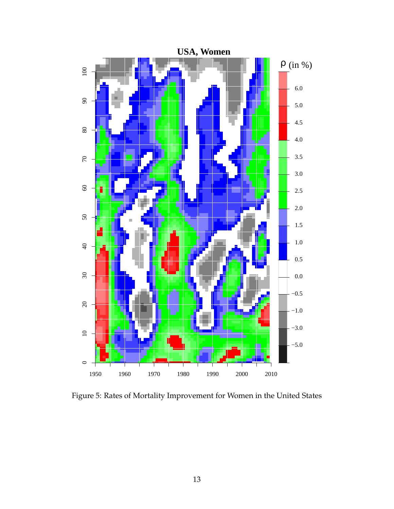

Figure 5: Rates of Mortality Improvement for Women in the United States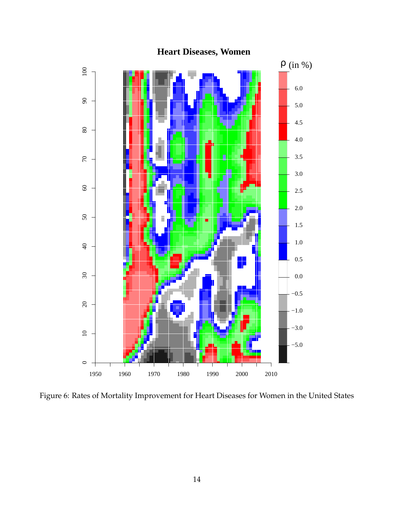

# **Heart Diseases, Women**

Figure 6: Rates of Mortality Improvement for Heart Diseases for Women in the United States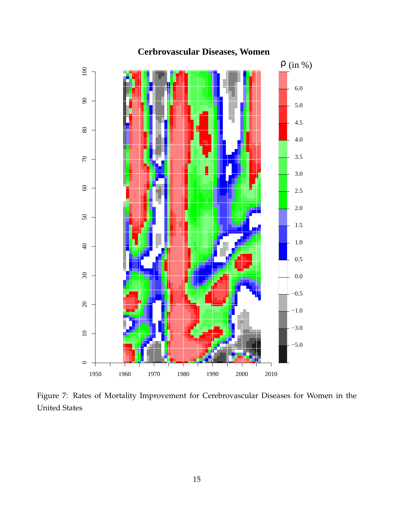

**Cerbrovascular Diseases, Women**

Figure 7: Rates of Mortality Improvement for Cerebrovascular Diseases for Women in the United States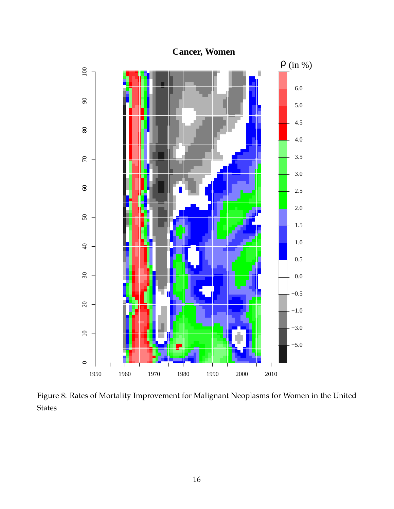

**Cancer, Women**

Figure 8: Rates of Mortality Improvement for Malignant Neoplasms for Women in the United States